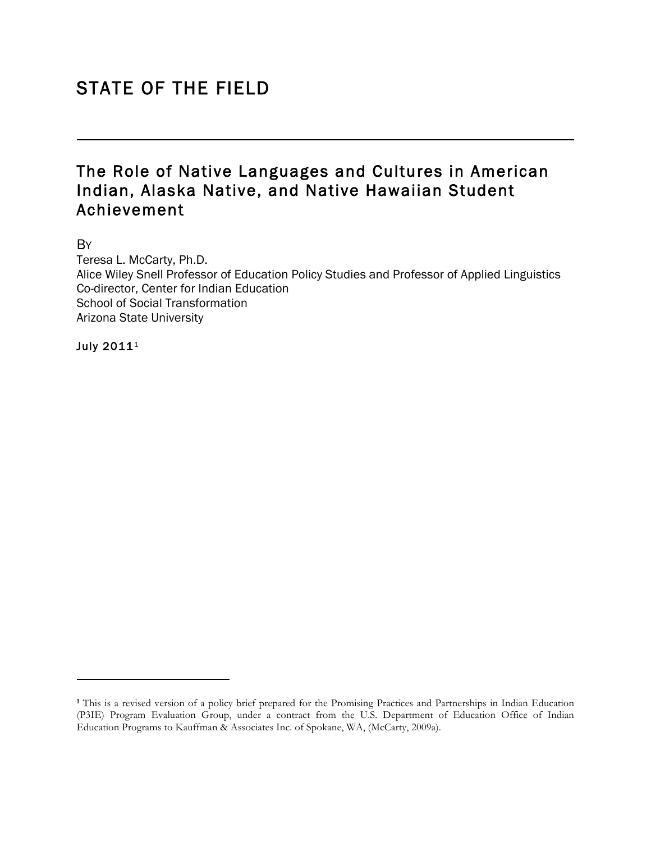# STATE OF THE FIELD

## The Role of Native Languages and Cultures in American Indian, Alaska Native, and Native Hawaiian Student Achievement

**B**Y

l

Teresa L. McCarty, Ph.D. Alice Wiley Snell Professor of Education Policy Studies and Professor of Applied Linguistics Co-director, Center for Indian Education School of Social Transformation Arizona State University

July 2011<sup>1</sup>

**<sup>1</sup>** This is a revised version of a policy brief prepared for the Promising Practices and Partnerships in Indian Education (P3IE) Program Evaluation Group, under a contract from the U.S. Department of Education Office of Indian Education Programs to Kauffman & Associates Inc. of Spokane, WA, (McCarty, 2009a).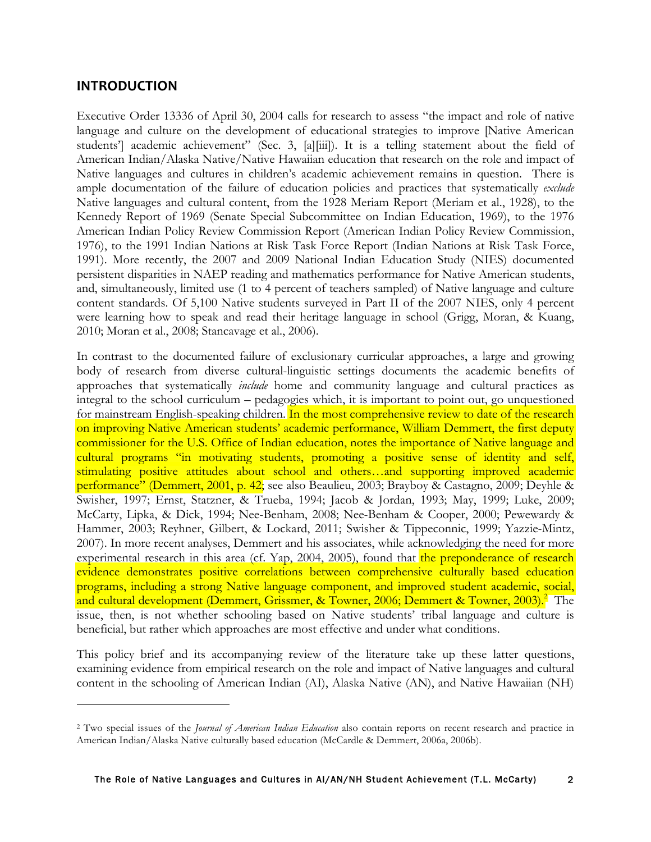### **INTRODUCTION**

<u> 1989 - Johann Stein, marwolaethau a bh</u>

Executive Order 13336 of April 30, 2004 calls for research to assess "the impact and role of native language and culture on the development of educational strategies to improve [Native American students'] academic achievement" (Sec. 3, [a][iii]). It is a telling statement about the field of American Indian/Alaska Native/Native Hawaiian education that research on the role and impact of Native languages and cultures in children's academic achievement remains in question. There is ample documentation of the failure of education policies and practices that systematically *exclude* Native languages and cultural content, from the 1928 Meriam Report (Meriam et al., 1928), to the Kennedy Report of 1969 (Senate Special Subcommittee on Indian Education, 1969), to the 1976 American Indian Policy Review Commission Report (American Indian Policy Review Commission, 1976), to the 1991 Indian Nations at Risk Task Force Report (Indian Nations at Risk Task Force, 1991). More recently, the 2007 and 2009 National Indian Education Study (NIES) documented persistent disparities in NAEP reading and mathematics performance for Native American students, and, simultaneously, limited use (1 to 4 percent of teachers sampled) of Native language and culture content standards. Of 5,100 Native students surveyed in Part II of the 2007 NIES, only 4 percent were learning how to speak and read their heritage language in school (Grigg, Moran, & Kuang, 2010; Moran et al., 2008; Stancavage et al., 2006).

In contrast to the documented failure of exclusionary curricular approaches, a large and growing body of research from diverse cultural-linguistic settings documents the academic benefits of approaches that systematically *include* home and community language and cultural practices as integral to the school curriculum – pedagogies which, it is important to point out, go unquestioned for mainstream English-speaking children. In the most comprehensive review to date of the research on improving Native American students' academic performance, William Demmert, the first deputy commissioner for the U.S. Office of Indian education, notes the importance of Native language and cultural programs "in motivating students, promoting a positive sense of identity and self, stimulating positive attitudes about school and others…and supporting improved academic performance" (Demmert, 2001, p. 42; see also Beaulieu, 2003; Brayboy & Castagno, 2009; Deyhle & Swisher, 1997; Ernst, Statzner, & Trueba, 1994; Jacob & Jordan, 1993; May, 1999; Luke, 2009; McCarty, Lipka, & Dick, 1994; Nee-Benham, 2008; Nee-Benham & Cooper, 2000; Pewewardy & Hammer, 2003; Reyhner, Gilbert, & Lockard, 2011; Swisher & Tippeconnic, 1999; Yazzie-Mintz, 2007). In more recent analyses, Demmert and his associates, while acknowledging the need for more experimental research in this area (cf. Yap, 2004, 2005), found that the preponderance of research evidence demonstrates positive correlations between comprehensive culturally based education programs, including a strong Native language component, and improved student academic, social, and cultural development (Demmert, Grissmer, & Towner, 2006; Demmert & Towner, 2003).<sup>2</sup> The issue, then, is not whether schooling based on Native students' tribal language and culture is beneficial, but rather which approaches are most effective and under what conditions.

This policy brief and its accompanying review of the literature take up these latter questions, examining evidence from empirical research on the role and impact of Native languages and cultural content in the schooling of American Indian (AI), Alaska Native (AN), and Native Hawaiian (NH)

<sup>2</sup> Two special issues of the *Journal of American Indian Education* also contain reports on recent research and practice in American Indian/Alaska Native culturally based education (McCardle & Demmert, 2006a, 2006b).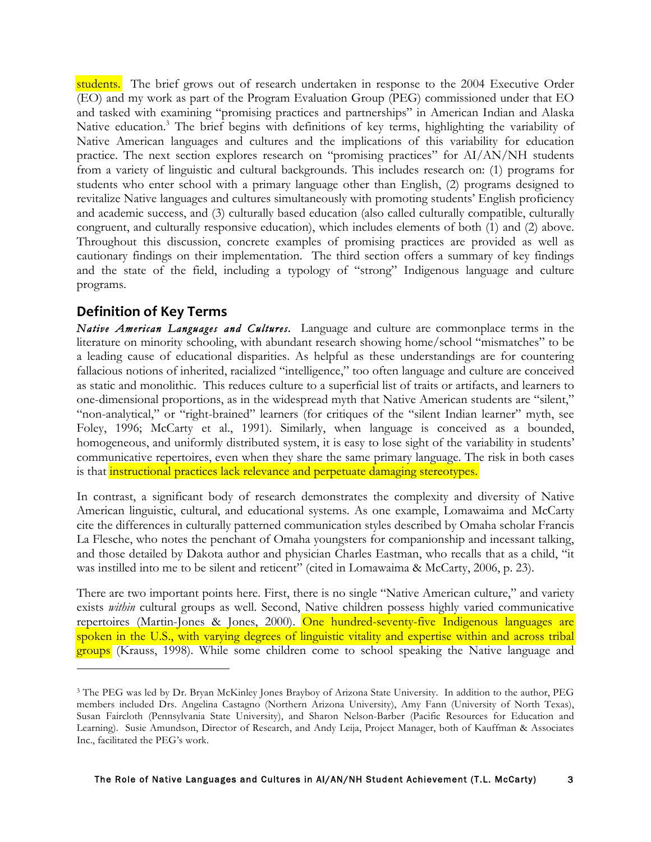students. The brief grows out of research undertaken in response to the 2004 Executive Order (EO) and my work as part of the Program Evaluation Group (PEG) commissioned under that EO and tasked with examining "promising practices and partnerships" in American Indian and Alaska Native education.<sup>3</sup> The brief begins with definitions of key terms, highlighting the variability of Native American languages and cultures and the implications of this variability for education practice. The next section explores research on "promising practices" for AI/AN/NH students from a variety of linguistic and cultural backgrounds. This includes research on: (1) programs for students who enter school with a primary language other than English, (2) programs designed to revitalize Native languages and cultures simultaneously with promoting students' English proficiency and academic success, and (3) culturally based education (also called culturally compatible, culturally congruent, and culturally responsive education), which includes elements of both (1) and (2) above. Throughout this discussion, concrete examples of promising practices are provided as well as cautionary findings on their implementation. The third section offers a summary of key findings and the state of the field, including a typology of "strong" Indigenous language and culture programs.

## **Definition
of
Key
Terms**

Native American Languages and Cultures. Language and culture are commonplace terms in the literature on minority schooling, with abundant research showing home/school "mismatches" to be a leading cause of educational disparities. As helpful as these understandings are for countering fallacious notions of inherited, racialized "intelligence," too often language and culture are conceived as static and monolithic. This reduces culture to a superficial list of traits or artifacts, and learners to one-dimensional proportions, as in the widespread myth that Native American students are "silent," "non-analytical," or "right-brained" learners (for critiques of the "silent Indian learner" myth, see Foley, 1996; McCarty et al., 1991). Similarly, when language is conceived as a bounded, homogeneous, and uniformly distributed system, it is easy to lose sight of the variability in students' communicative repertoires, even when they share the same primary language. The risk in both cases is that **instructional practices lack relevance and perpetuate damaging stereotypes.** 

In contrast, a significant body of research demonstrates the complexity and diversity of Native American linguistic, cultural, and educational systems. As one example, Lomawaima and McCarty cite the differences in culturally patterned communication styles described by Omaha scholar Francis La Flesche, who notes the penchant of Omaha youngsters for companionship and incessant talking, and those detailed by Dakota author and physician Charles Eastman, who recalls that as a child, "it was instilled into me to be silent and reticent" (cited in Lomawaima & McCarty, 2006, p. 23).

There are two important points here. First, there is no single "Native American culture," and variety exists *within* cultural groups as well. Second, Native children possess highly varied communicative repertoires (Martin-Jones & Jones, 2000). One hundred-seventy-five Indigenous languages are spoken in the U.S., with varying degrees of linguistic vitality and expertise within and across tribal groups (Krauss, 1998). While some children come to school speaking the Native language and

<sup>3</sup> The PEG was led by Dr. Bryan McKinley Jones Brayboy of Arizona State University. In addition to the author, PEG members included Drs. Angelina Castagno (Northern Arizona University), Amy Fann (University of North Texas), Susan Faircloth (Pennsylvania State University), and Sharon Nelson-Barber (Pacific Resources for Education and Learning). Susie Amundson, Director of Research, and Andy Leija, Project Manager, both of Kauffman & Associates Inc., facilitated the PEG's work.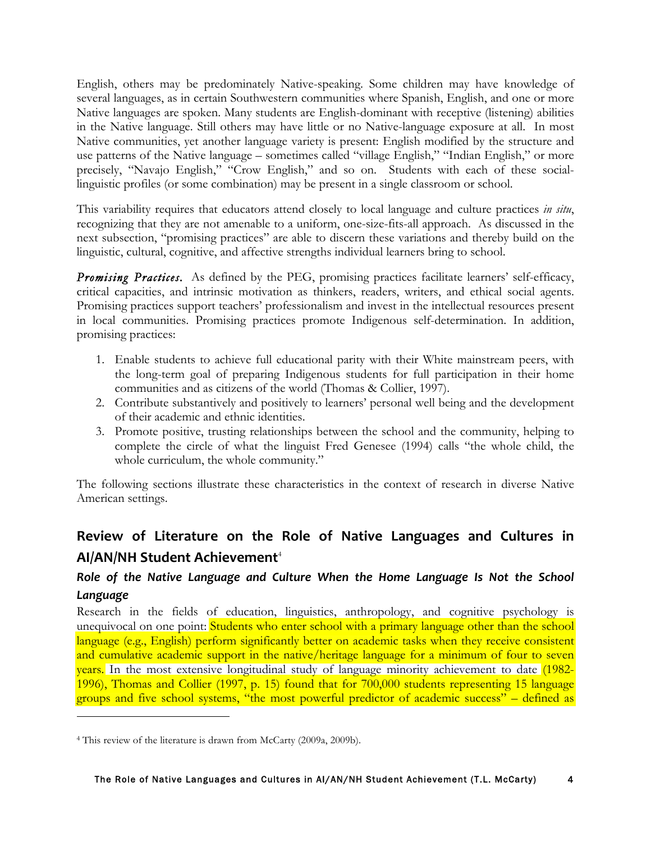English, others may be predominately Native-speaking. Some children may have knowledge of several languages, as in certain Southwestern communities where Spanish, English, and one or more Native languages are spoken. Many students are English-dominant with receptive (listening) abilities in the Native language. Still others may have little or no Native-language exposure at all. In most Native communities, yet another language variety is present: English modified by the structure and use patterns of the Native language – sometimes called "village English," "Indian English," or more precisely, "Navajo English," "Crow English," and so on. Students with each of these sociallinguistic profiles (or some combination) may be present in a single classroom or school.

This variability requires that educators attend closely to local language and culture practices *in situ*, recognizing that they are not amenable to a uniform, one-size-fits-all approach. As discussed in the next subsection, "promising practices" are able to discern these variations and thereby build on the linguistic, cultural, cognitive, and affective strengths individual learners bring to school.

**Promising Practices.** As defined by the PEG, promising practices facilitate learners' self-efficacy, critical capacities, and intrinsic motivation as thinkers, readers, writers, and ethical social agents. Promising practices support teachers' professionalism and invest in the intellectual resources present in local communities. Promising practices promote Indigenous self-determination. In addition, promising practices:

- 1. Enable students to achieve full educational parity with their White mainstream peers, with the long-term goal of preparing Indigenous students for full participation in their home communities and as citizens of the world (Thomas & Collier, 1997).
- 2. Contribute substantively and positively to learners' personal well being and the development of their academic and ethnic identities.
- 3. Promote positive, trusting relationships between the school and the community, helping to complete the circle of what the linguist Fred Genesee (1994) calls "the whole child, the whole curriculum, the whole community."

The following sections illustrate these characteristics in the context of research in diverse Native American settings.

## Review of Literature on the Role of Native Languages and Cultures in AI/AN/NH Student Achievement<sup>4</sup>

## Role of the Native Language and Culture When the Home Language Is Not the School *Language*

Research in the fields of education, linguistics, anthropology, and cognitive psychology is unequivocal on one point: Students who enter school with a primary language other than the school language (e.g., English) perform significantly better on academic tasks when they receive consistent and cumulative academic support in the native/heritage language for a minimum of four to seven years. In the most extensive longitudinal study of language minority achievement to date (1982- 1996), Thomas and Collier (1997, p. 15) found that for 700,000 students representing 15 language groups and five school systems, "the most powerful predictor of academic success" – defined as

<sup>4</sup> This review of the literature is drawn from McCarty (2009a, 2009b).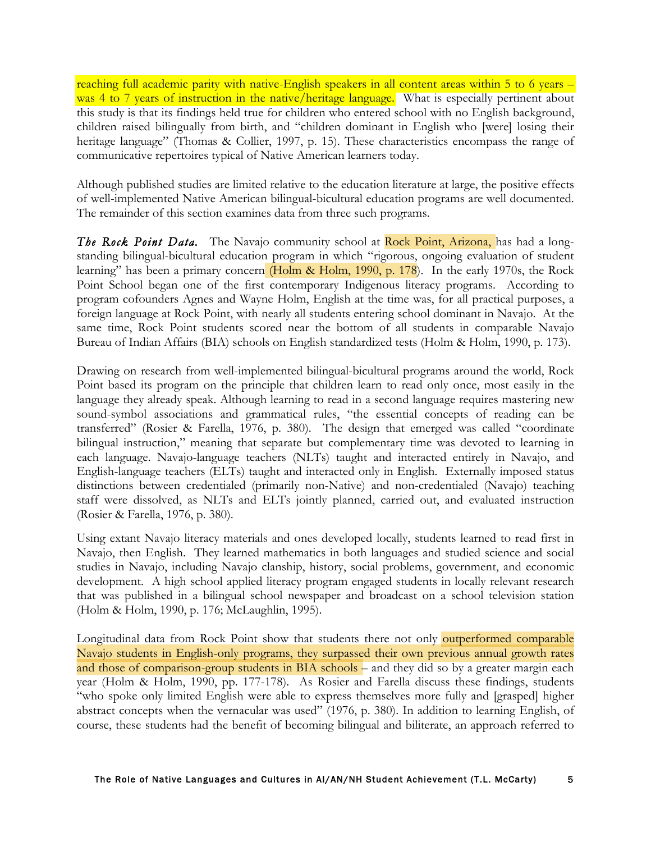reaching full academic parity with native-English speakers in all content areas within 5 to 6 years – was 4 to 7 years of instruction in the native/heritage language. What is especially pertinent about this study is that its findings held true for children who entered school with no English background, children raised bilingually from birth, and "children dominant in English who [were] losing their heritage language" (Thomas & Collier, 1997, p. 15). These characteristics encompass the range of communicative repertoires typical of Native American learners today.

Although published studies are limited relative to the education literature at large, the positive effects of well-implemented Native American bilingual-bicultural education programs are well documented. The remainder of this section examines data from three such programs.

**The Rock Point Data.** The Navajo community school at Rock Point, Arizona, has had a longstanding bilingual-bicultural education program in which "rigorous, ongoing evaluation of student learning" has been a primary concern (Holm & Holm, 1990, p. 178). In the early 1970s, the Rock Point School began one of the first contemporary Indigenous literacy programs. According to program cofounders Agnes and Wayne Holm, English at the time was, for all practical purposes, a foreign language at Rock Point, with nearly all students entering school dominant in Navajo. At the same time, Rock Point students scored near the bottom of all students in comparable Navajo Bureau of Indian Affairs (BIA) schools on English standardized tests (Holm & Holm, 1990, p. 173).

Drawing on research from well-implemented bilingual-bicultural programs around the world, Rock Point based its program on the principle that children learn to read only once, most easily in the language they already speak. Although learning to read in a second language requires mastering new sound-symbol associations and grammatical rules, "the essential concepts of reading can be transferred" (Rosier & Farella, 1976, p. 380). The design that emerged was called "coordinate bilingual instruction," meaning that separate but complementary time was devoted to learning in each language. Navajo-language teachers (NLTs) taught and interacted entirely in Navajo, and English-language teachers (ELTs) taught and interacted only in English. Externally imposed status distinctions between credentialed (primarily non-Native) and non-credentialed (Navajo) teaching staff were dissolved, as NLTs and ELTs jointly planned, carried out, and evaluated instruction (Rosier & Farella, 1976, p. 380).

Using extant Navajo literacy materials and ones developed locally, students learned to read first in Navajo, then English. They learned mathematics in both languages and studied science and social studies in Navajo, including Navajo clanship, history, social problems, government, and economic development. A high school applied literacy program engaged students in locally relevant research that was published in a bilingual school newspaper and broadcast on a school television station (Holm & Holm, 1990, p. 176; McLaughlin, 1995).

Longitudinal data from Rock Point show that students there not only outperformed comparable Navajo students in English-only programs, they surpassed their own previous annual growth rates and those of comparison-group students in BIA schools – and they did so by a greater margin each year (Holm & Holm, 1990, pp. 177-178). As Rosier and Farella discuss these findings, students "who spoke only limited English were able to express themselves more fully and [grasped] higher abstract concepts when the vernacular was used" (1976, p. 380). In addition to learning English, of course, these students had the benefit of becoming bilingual and biliterate, an approach referred to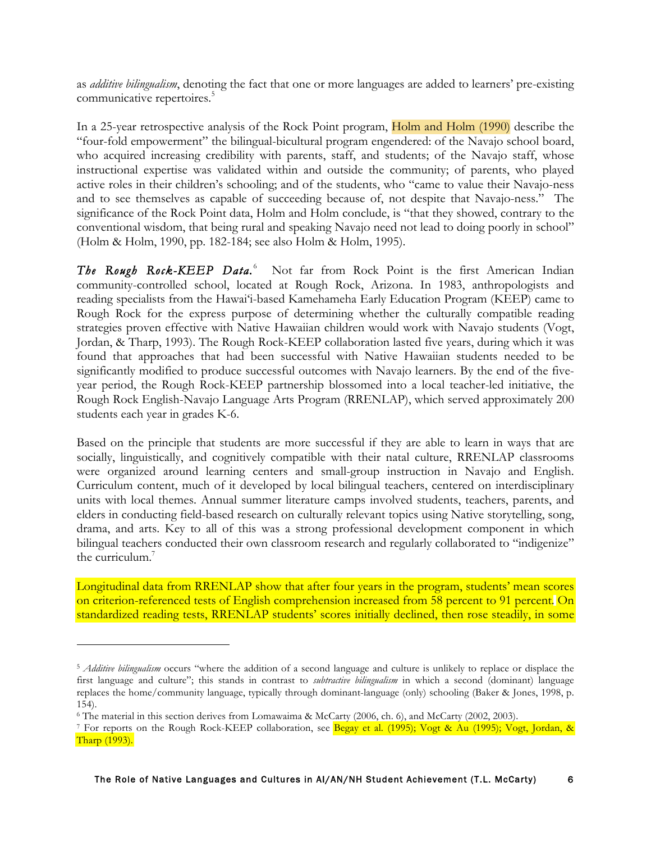as *additive bilingualism*, denoting the fact that one or more languages are added to learners' pre-existing communicative repertoires.<sup>5</sup>

In a 25-year retrospective analysis of the Rock Point program, Holm and Holm (1990) describe the "four-fold empowerment" the bilingual-bicultural program engendered: of the Navajo school board, who acquired increasing credibility with parents, staff, and students; of the Navajo staff, whose instructional expertise was validated within and outside the community; of parents, who played active roles in their children's schooling; and of the students, who "came to value their Navajo-ness and to see themselves as capable of succeeding because of, not despite that Navajo-ness." The significance of the Rock Point data, Holm and Holm conclude, is "that they showed, contrary to the conventional wisdom, that being rural and speaking Navajo need not lead to doing poorly in school" (Holm & Holm, 1990, pp. 182-184; see also Holm & Holm, 1995).

The Rough Rock-KEEP Data.<sup>6</sup> Not far from Rock Point is the first American Indian community-controlled school, located at Rough Rock, Arizona. In 1983, anthropologists and reading specialists from the Hawai'i-based Kamehameha Early Education Program (KEEP) came to Rough Rock for the express purpose of determining whether the culturally compatible reading strategies proven effective with Native Hawaiian children would work with Navajo students (Vogt, Jordan, & Tharp, 1993). The Rough Rock-KEEP collaboration lasted five years, during which it was found that approaches that had been successful with Native Hawaiian students needed to be significantly modified to produce successful outcomes with Navajo learners. By the end of the fiveyear period, the Rough Rock-KEEP partnership blossomed into a local teacher-led initiative, the Rough Rock English-Navajo Language Arts Program (RRENLAP), which served approximately 200 students each year in grades K-6.

Based on the principle that students are more successful if they are able to learn in ways that are socially, linguistically, and cognitively compatible with their natal culture, RRENLAP classrooms were organized around learning centers and small-group instruction in Navajo and English. Curriculum content, much of it developed by local bilingual teachers, centered on interdisciplinary units with local themes. Annual summer literature camps involved students, teachers, parents, and elders in conducting field-based research on culturally relevant topics using Native storytelling, song, drama, and arts. Key to all of this was a strong professional development component in which bilingual teachers conducted their own classroom research and regularly collaborated to "indigenize" the curriculum.<sup>7</sup>

Longitudinal data from RRENLAP show that after four years in the program, students' mean scores on criterion-referenced tests of English comprehension increased from 58 percent to 91 percent. On standardized reading tests, RRENLAP students' scores initially declined, then rose steadily, in some

<sup>5</sup> *Additive bilingualism* occurs "where the addition of a second language and culture is unlikely to replace or displace the first language and culture"; this stands in contrast to *subtractive bilingualism* in which a second (dominant) language replaces the home/community language, typically through dominant-language (only) schooling (Baker & Jones, 1998, p. 154).

<sup>6</sup> The material in this section derives from Lomawaima & McCarty (2006, ch. 6), and McCarty (2002, 2003).

<sup>7</sup> For reports on the Rough Rock-KEEP collaboration, see Begay et al. (1995); Vogt & Au (1995); Vogt, Jordan, & Tharp (1993).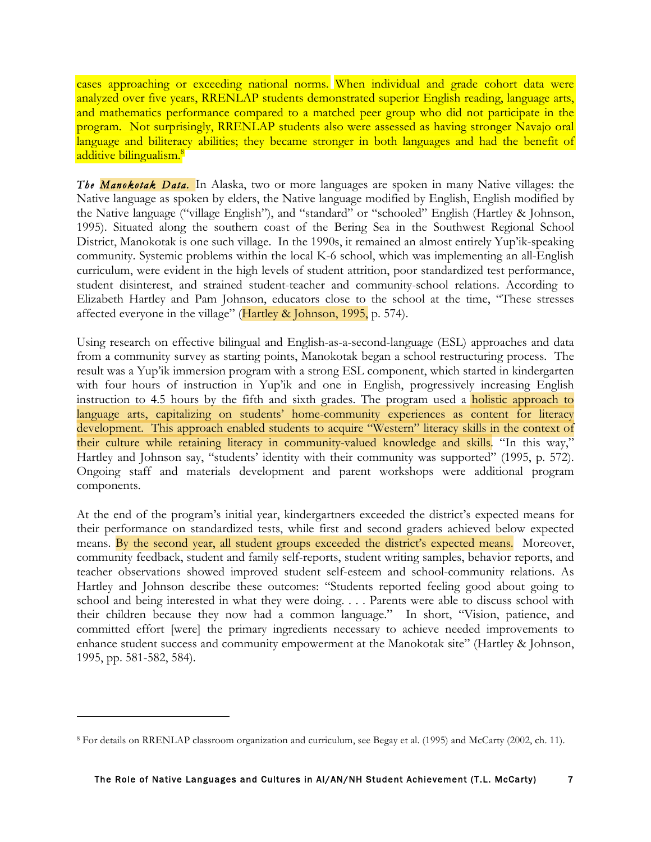cases approaching or exceeding national norms. When individual and grade cohort data were analyzed over five years, RRENLAP students demonstrated superior English reading, language arts, and mathematics performance compared to a matched peer group who did not participate in the program. Not surprisingly, RRENLAP students also were assessed as having stronger Navajo oral language and biliteracy abilities; they became stronger in both languages and had the benefit of additive bilingualism.<sup>8</sup>

*The Manokotak Data.* In Alaska, two or more languages are spoken in many Native villages: the Native language as spoken by elders, the Native language modified by English, English modified by the Native language ("village English"), and "standard" or "schooled" English (Hartley & Johnson, 1995). Situated along the southern coast of the Bering Sea in the Southwest Regional School District, Manokotak is one such village. In the 1990s, it remained an almost entirely Yup'ik-speaking community. Systemic problems within the local K-6 school, which was implementing an all-English curriculum, were evident in the high levels of student attrition, poor standardized test performance, student disinterest, and strained student-teacher and community-school relations. According to Elizabeth Hartley and Pam Johnson, educators close to the school at the time, "These stresses affected everyone in the village" ( $Hartley \& Johnson, 1995$ , p. 574).

Using research on effective bilingual and English-as-a-second-language (ESL) approaches and data from a community survey as starting points, Manokotak began a school restructuring process. The result was a Yup'ik immersion program with a strong ESL component, which started in kindergarten with four hours of instruction in Yup'ik and one in English, progressively increasing English instruction to 4.5 hours by the fifth and sixth grades. The program used a **holistic approach to** language arts, capitalizing on students' home-community experiences as content for literacy development. This approach enabled students to acquire "Western" literacy skills in the context of their culture while retaining literacy in community-valued knowledge and skills. "In this way," Hartley and Johnson say, "students' identity with their community was supported" (1995, p. 572). Ongoing staff and materials development and parent workshops were additional program components.

At the end of the program's initial year, kindergartners exceeded the district's expected means for their performance on standardized tests, while first and second graders achieved below expected means. By the second year, all student groups exceeded the district's expected means. Moreover, community feedback, student and family self-reports, student writing samples, behavior reports, and teacher observations showed improved student self-esteem and school-community relations. As Hartley and Johnson describe these outcomes: "Students reported feeling good about going to school and being interested in what they were doing. . . . Parents were able to discuss school with their children because they now had a common language." In short, "Vision, patience, and committed effort [were] the primary ingredients necessary to achieve needed improvements to enhance student success and community empowerment at the Manokotak site" (Hartley & Johnson, 1995, pp. 581-582, 584).

<sup>8</sup> For details on RRENLAP classroom organization and curriculum, see Begay et al. (1995) and McCarty (2002, ch. 11).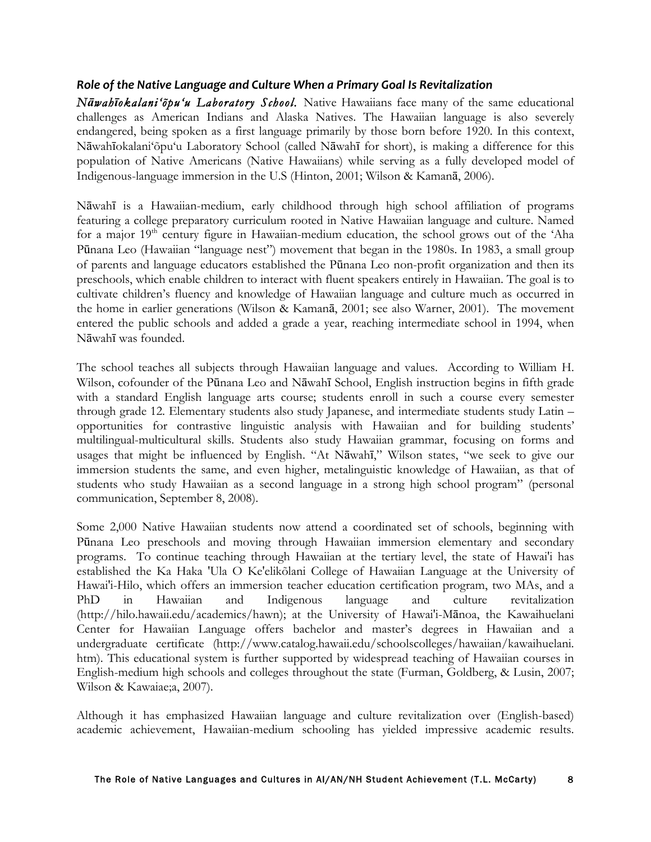#### *Role
of
the
Native
Language
and
Culture
When
a
Primary
Goal
Is
Revitalization*

*Nāwahīokalani'õpu'u Laboratory School.* Native Hawaiians face many of the same educational challenges as American Indians and Alaska Natives. The Hawaiian language is also severely endangered, being spoken as a first language primarily by those born before 1920. In this context, Nāwahīokalani'õpu'u Laboratory School (called Nāwahī for short), is making a difference for this population of Native Americans (Native Hawaiians) while serving as a fully developed model of Indigenous-language immersion in the U.S (Hinton, 2001; Wilson & Kamanā, 2006).

Nāwahī is a Hawaiian-medium, early childhood through high school affiliation of programs featuring a college preparatory curriculum rooted in Native Hawaiian language and culture. Named for a major  $19<sup>th</sup>$  century figure in Hawaiian-medium education, the school grows out of the 'Aha Pūnana Leo (Hawaiian "language nest") movement that began in the 1980s. In 1983, a small group of parents and language educators established the Pūnana Leo non-profit organization and then its preschools, which enable children to interact with fluent speakers entirely in Hawaiian. The goal is to cultivate children's fluency and knowledge of Hawaiian language and culture much as occurred in the home in earlier generations (Wilson & Kamanā, 2001; see also Warner, 2001). The movement entered the public schools and added a grade a year, reaching intermediate school in 1994, when Nāwahī was founded.

The school teaches all subjects through Hawaiian language and values. According to William H. Wilson, cofounder of the Pūnana Leo and Nāwahī School, English instruction begins in fifth grade with a standard English language arts course; students enroll in such a course every semester through grade 12. Elementary students also study Japanese, and intermediate students study Latin – opportunities for contrastive linguistic analysis with Hawaiian and for building students' multilingual-multicultural skills. Students also study Hawaiian grammar, focusing on forms and usages that might be influenced by English. "At Nāwahī," Wilson states, "we seek to give our immersion students the same, and even higher, metalinguistic knowledge of Hawaiian, as that of students who study Hawaiian as a second language in a strong high school program" (personal communication, September 8, 2008).

Some 2,000 Native Hawaiian students now attend a coordinated set of schools, beginning with Pūnana Leo preschools and moving through Hawaiian immersion elementary and secondary programs. To continue teaching through Hawaiian at the tertiary level, the state of Hawai'i has established the Ka Haka 'Ula O Ke'elikõlani College of Hawaiian Language at the University of Hawai'i-Hilo, which offers an immersion teacher education certification program, two MAs, and a PhD in Hawaiian and Indigenous language and culture revitalization (http://hilo.hawaii.edu/academics/hawn); at the University of Hawai'i-Mānoa, the Kawaihuelani Center for Hawaiian Language offers bachelor and master's degrees in Hawaiian and a undergraduate certificate (http://www.catalog.hawaii.edu/schoolscolleges/hawaiian/kawaihuelani. htm). This educational system is further supported by widespread teaching of Hawaiian courses in English-medium high schools and colleges throughout the state (Furman, Goldberg, & Lusin, 2007; Wilson & Kawaiae;a, 2007).

Although it has emphasized Hawaiian language and culture revitalization over (English-based) academic achievement, Hawaiian-medium schooling has yielded impressive academic results.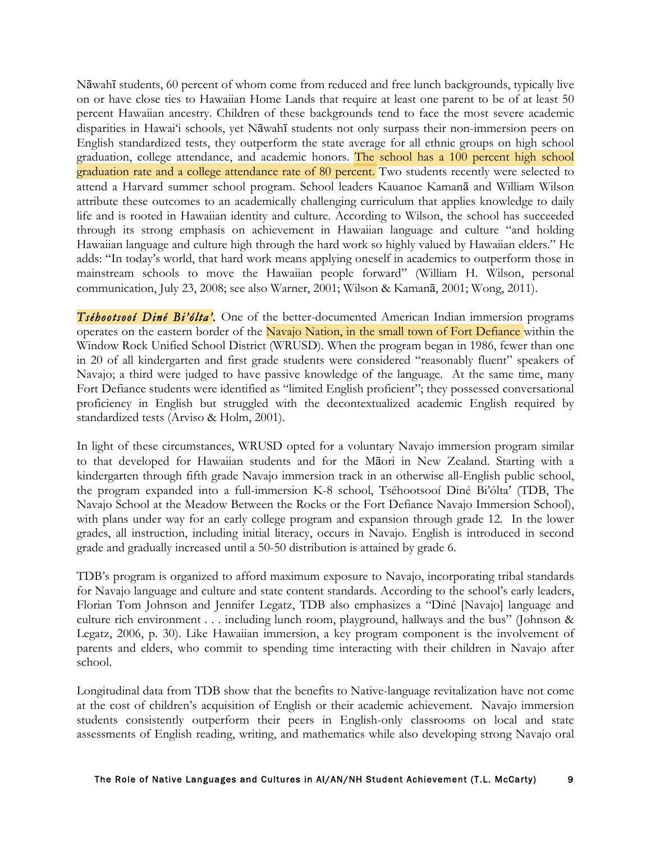Nāwahī students, 60 percent of whom come from reduced and free lunch backgrounds, typically live on or have close ties to Hawaiian Home Lands that require at least one parent to be of at least 50 percent Hawaiian ancestry. Children of these backgrounds tend to face the most severe academic disparities in Hawai'i schools, yet Nāwahī students not only surpass their non-immersion peers on English standardized tests, they outperform the state average for all ethnic groups on high school graduation, college attendance, and academic honors. The school has a 100 percent high school graduation rate and a college attendance rate of 80 percent. Two students recently were selected to attend a Harvard summer school program. School leaders Kauanoe Kamanā and William Wilson attribute these outcomes to an academically challenging curriculum that applies knowledge to daily life and is rooted in Hawaiian identity and culture. According to Wilson, the school has succeeded through its strong emphasis on achievement in Hawaiian language and culture "and holding Hawaiian language and culture high through the hard work so highly valued by Hawaiian elders." He adds: "In today's world, that hard work means applying oneself in academics to outperform those in mainstream schools to move the Hawaiian people forward" (William H. Wilson, personal communication, July 23, 2008; see also Warner, 2001; Wilson & Kamanā, 2001; Wong, 2011).

*Tséhootsooí Diné Bi'ólta'.* One of the better-documented American Indian immersion programs operates on the eastern border of the Navajo Nation, in the small town of Fort Defiance within the Window Rock Unified School District (WRUSD). When the program began in 1986, fewer than one in 20 of all kindergarten and first grade students were considered "reasonably fluent" speakers of Navajo; a third were judged to have passive knowledge of the language. At the same time, many Fort Defiance students were identified as "limited English proficient"; they possessed conversational proficiency in English but struggled with the decontextualized academic English required by standardized tests (Arviso & Holm, 2001).

In light of these circumstances, WRUSD opted for a voluntary Navajo immersion program similar to that developed for Hawaiian students and for the Māori in New Zealand. Starting with a kindergarten through fifth grade Navajo immersion track in an otherwise all-English public school, the program expanded into a full-immersion K-8 school, Tséhootsooí Diné Bi'ólta' (TDB, The Navajo School at the Meadow Between the Rocks or the Fort Defiance Navajo Immersion School), with plans under way for an early college program and expansion through grade 12. In the lower grades, all instruction, including initial literacy, occurs in Navajo. English is introduced in second grade and gradually increased until a 50-50 distribution is attained by grade 6.

TDB's program is organized to afford maximum exposure to Navajo, incorporating tribal standards for Navajo language and culture and state content standards. According to the school's early leaders, Florian Tom Johnson and Jennifer Legatz, TDB also emphasizes a "Diné [Navajo] language and culture rich environment . . . including lunch room, playground, hallways and the bus" (Johnson & Legatz, 2006, p. 30). Like Hawaiian immersion, a key program component is the involvement of parents and elders, who commit to spending time interacting with their children in Navajo after school.

Longitudinal data from TDB show that the benefits to Native-language revitalization have not come at the cost of children's acquisition of English or their academic achievement. Navajo immersion students consistently outperform their peers in English-only classrooms on local and state assessments of English reading, writing, and mathematics while also developing strong Navajo oral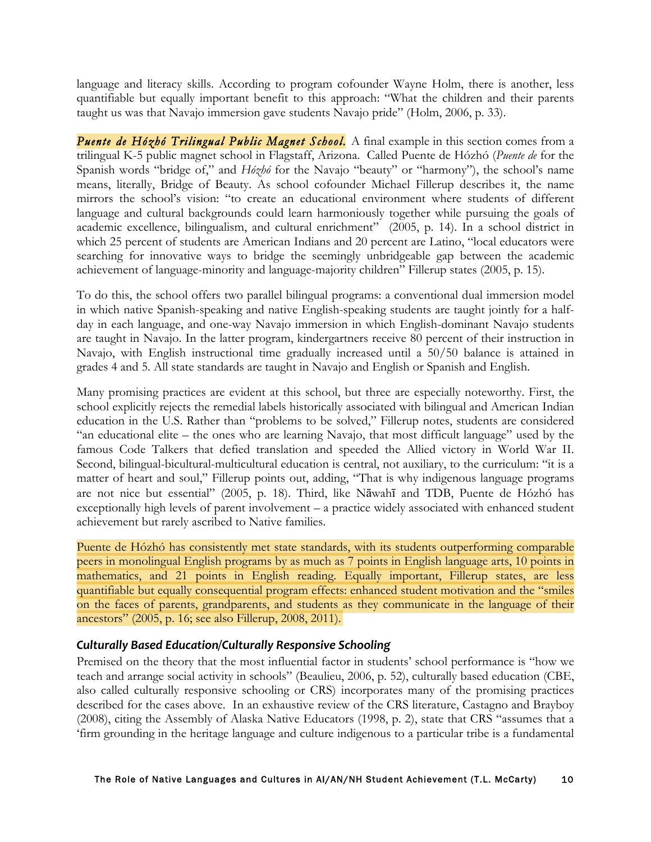language and literacy skills. According to program cofounder Wayne Holm, there is another, less quantifiable but equally important benefit to this approach: "What the children and their parents taught us was that Navajo immersion gave students Navajo pride" (Holm, 2006, p. 33).

*Puente de Hózhó Trilingual Public Magnet School.* A final example in this section comes from a trilingual K-5 public magnet school in Flagstaff, Arizona. Called Puente de Hózhó (*Puente de* for the Spanish words "bridge of," and *Hózhó* for the Navajo "beauty" or "harmony"), the school's name means, literally, Bridge of Beauty. As school cofounder Michael Fillerup describes it, the name mirrors the school's vision: "to create an educational environment where students of different language and cultural backgrounds could learn harmoniously together while pursuing the goals of academic excellence, bilingualism, and cultural enrichment" (2005, p. 14). In a school district in which 25 percent of students are American Indians and 20 percent are Latino, "local educators were searching for innovative ways to bridge the seemingly unbridgeable gap between the academic achievement of language-minority and language-majority children" Fillerup states (2005, p. 15).

To do this, the school offers two parallel bilingual programs: a conventional dual immersion model in which native Spanish-speaking and native English-speaking students are taught jointly for a halfday in each language, and one-way Navajo immersion in which English-dominant Navajo students are taught in Navajo. In the latter program, kindergartners receive 80 percent of their instruction in Navajo, with English instructional time gradually increased until a 50/50 balance is attained in grades 4 and 5. All state standards are taught in Navajo and English or Spanish and English.

Many promising practices are evident at this school, but three are especially noteworthy. First, the school explicitly rejects the remedial labels historically associated with bilingual and American Indian education in the U.S. Rather than "problems to be solved," Fillerup notes, students are considered "an educational elite – the ones who are learning Navajo, that most difficult language" used by the famous Code Talkers that defied translation and speeded the Allied victory in World War II. Second, bilingual-bicultural-multicultural education is central, not auxiliary, to the curriculum: "it is a matter of heart and soul," Fillerup points out, adding, "That is why indigenous language programs are not nice but essential" (2005, p. 18). Third, like Nāwahī and TDB, Puente de Hózhó has exceptionally high levels of parent involvement – a practice widely associated with enhanced student achievement but rarely ascribed to Native families.

Puente de Hózhó has consistently met state standards, with its students outperforming comparable peers in monolingual English programs by as much as 7 points in English language arts, 10 points in mathematics, and 21 points in English reading. Equally important, Fillerup states, are less quantifiable but equally consequential program effects: enhanced student motivation and the "smiles on the faces of parents, grandparents, and students as they communicate in the language of their ancestors" (2005, p. 16; see also Fillerup, 2008, 2011).

#### *Culturally
Based
Education/Culturally
Responsive
Schooling*

Premised on the theory that the most influential factor in students' school performance is "how we teach and arrange social activity in schools" (Beaulieu, 2006, p. 52), culturally based education (CBE, also called culturally responsive schooling or CRS) incorporates many of the promising practices described for the cases above. In an exhaustive review of the CRS literature, Castagno and Brayboy (2008), citing the Assembly of Alaska Native Educators (1998, p. 2), state that CRS "assumes that a 'firm grounding in the heritage language and culture indigenous to a particular tribe is a fundamental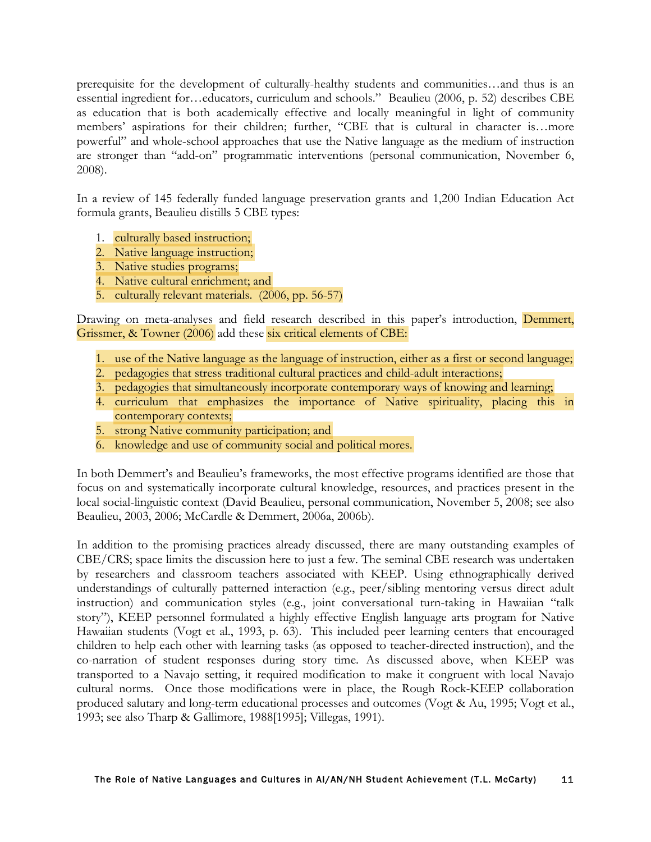prerequisite for the development of culturally-healthy students and communities…and thus is an essential ingredient for…educators, curriculum and schools." Beaulieu (2006, p. 52) describes CBE as education that is both academically effective and locally meaningful in light of community members' aspirations for their children; further, "CBE that is cultural in character is…more powerful" and whole-school approaches that use the Native language as the medium of instruction are stronger than "add-on" programmatic interventions (personal communication, November 6, 2008).

In a review of 145 federally funded language preservation grants and 1,200 Indian Education Act formula grants, Beaulieu distills 5 CBE types:

- 1. culturally based instruction;
- 2. Native language instruction;
- 3. Native studies programs;
- 4. Native cultural enrichment; and
- 5. culturally relevant materials. (2006, pp. 56-57)

Drawing on meta-analyses and field research described in this paper's introduction, Demmert, Grissmer, & Towner (2006) add these six critical elements of CBE:

- 1. use of the Native language as the language of instruction, either as a first or second language;
- 2. pedagogies that stress traditional cultural practices and child-adult interactions;
- 3. pedagogies that simultaneously incorporate contemporary ways of knowing and learning;
- 4. curriculum that emphasizes the importance of Native spirituality, placing this in contemporary contexts;
- 5. strong Native community participation; and
- 6. knowledge and use of community social and political mores.

In both Demmert's and Beaulieu's frameworks, the most effective programs identified are those that focus on and systematically incorporate cultural knowledge, resources, and practices present in the local social-linguistic context (David Beaulieu, personal communication, November 5, 2008; see also Beaulieu, 2003, 2006; McCardle & Demmert, 2006a, 2006b).

In addition to the promising practices already discussed, there are many outstanding examples of CBE/CRS; space limits the discussion here to just a few. The seminal CBE research was undertaken by researchers and classroom teachers associated with KEEP. Using ethnographically derived understandings of culturally patterned interaction (e.g., peer/sibling mentoring versus direct adult instruction) and communication styles (e.g., joint conversational turn-taking in Hawaiian "talk story"), KEEP personnel formulated a highly effective English language arts program for Native Hawaiian students (Vogt et al., 1993, p. 63). This included peer learning centers that encouraged children to help each other with learning tasks (as opposed to teacher-directed instruction), and the co-narration of student responses during story time. As discussed above, when KEEP was transported to a Navajo setting, it required modification to make it congruent with local Navajo cultural norms. Once those modifications were in place, the Rough Rock-KEEP collaboration produced salutary and long-term educational processes and outcomes (Vogt & Au, 1995; Vogt et al., 1993; see also Tharp & Gallimore, 1988[1995]; Villegas, 1991).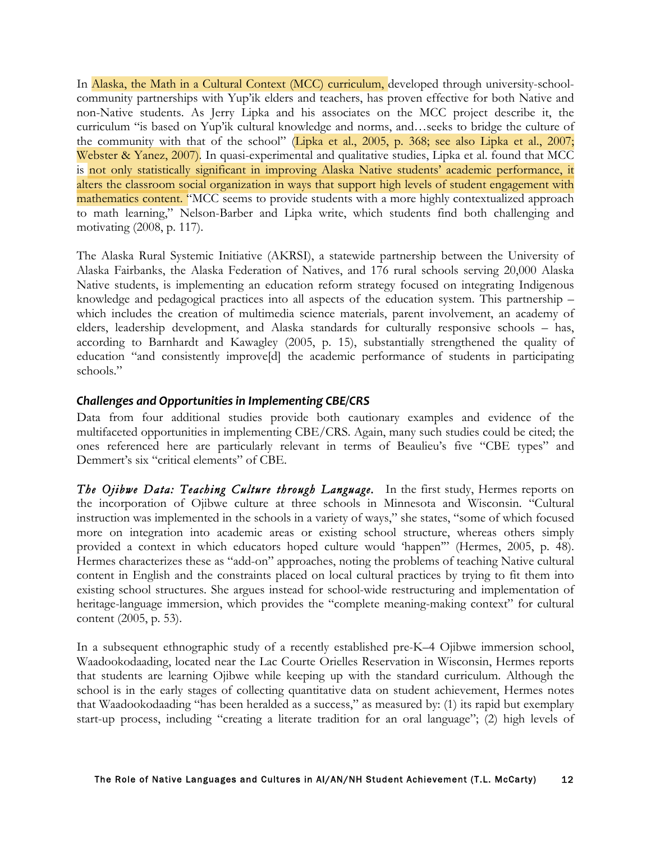In Alaska, the Math in a Cultural Context (MCC) curriculum, developed through university-schoolcommunity partnerships with Yup'ik elders and teachers, has proven effective for both Native and non-Native students. As Jerry Lipka and his associates on the MCC project describe it, the curriculum "is based on Yup'ik cultural knowledge and norms, and…seeks to bridge the culture of the community with that of the school" (Lipka et al., 2005, p. 368; see also Lipka et al., 2007; Webster & Yanez, 2007). In quasi-experimental and qualitative studies, Lipka et al. found that MCC is not only statistically significant in improving Alaska Native students' academic performance, it alters the classroom social organization in ways that support high levels of student engagement with mathematics content. "MCC seems to provide students with a more highly contextualized approach to math learning," Nelson-Barber and Lipka write, which students find both challenging and motivating (2008, p. 117).

The Alaska Rural Systemic Initiative (AKRSI), a statewide partnership between the University of Alaska Fairbanks, the Alaska Federation of Natives, and 176 rural schools serving 20,000 Alaska Native students, is implementing an education reform strategy focused on integrating Indigenous knowledge and pedagogical practices into all aspects of the education system. This partnership – which includes the creation of multimedia science materials, parent involvement, an academy of elders, leadership development, and Alaska standards for culturally responsive schools – has, according to Barnhardt and Kawagley (2005, p. 15), substantially strengthened the quality of education "and consistently improve[d] the academic performance of students in participating schools."

#### *Challenges
and
Opportunities
in
Implementing
CBE/CRS*

Data from four additional studies provide both cautionary examples and evidence of the multifaceted opportunities in implementing CBE/CRS. Again, many such studies could be cited; the ones referenced here are particularly relevant in terms of Beaulieu's five "CBE types" and Demmert's six "critical elements" of CBE.

*The Ojibwe Data: Teaching Culture through Language.* In the first study, Hermes reports on the incorporation of Ojibwe culture at three schools in Minnesota and Wisconsin. "Cultural instruction was implemented in the schools in a variety of ways," she states, "some of which focused more on integration into academic areas or existing school structure, whereas others simply provided a context in which educators hoped culture would 'happen'" (Hermes, 2005, p. 48). Hermes characterizes these as "add-on" approaches, noting the problems of teaching Native cultural content in English and the constraints placed on local cultural practices by trying to fit them into existing school structures. She argues instead for school-wide restructuring and implementation of heritage-language immersion, which provides the "complete meaning-making context" for cultural content (2005, p. 53).

In a subsequent ethnographic study of a recently established pre-K–4 Ojibwe immersion school, Waadookodaading, located near the Lac Courte Orielles Reservation in Wisconsin, Hermes reports that students are learning Ojibwe while keeping up with the standard curriculum. Although the school is in the early stages of collecting quantitative data on student achievement, Hermes notes that Waadookodaading "has been heralded as a success," as measured by: (1) its rapid but exemplary start-up process, including "creating a literate tradition for an oral language"; (2) high levels of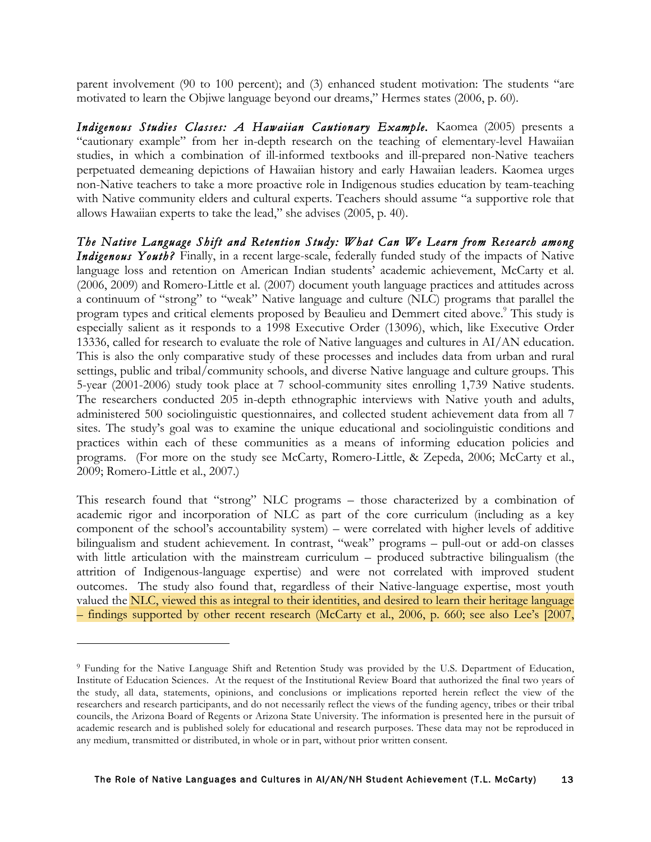parent involvement (90 to 100 percent); and (3) enhanced student motivation: The students "are motivated to learn the Objiwe language beyond our dreams," Hermes states (2006, p. 60).

Indigenous Studies Classes: A Hawaiian Cautionary Example. Kaomea (2005) presents a "cautionary example" from her in-depth research on the teaching of elementary-level Hawaiian studies, in which a combination of ill-informed textbooks and ill-prepared non-Native teachers perpetuated demeaning depictions of Hawaiian history and early Hawaiian leaders. Kaomea urges non-Native teachers to take a more proactive role in Indigenous studies education by team-teaching with Native community elders and cultural experts. Teachers should assume "a supportive role that allows Hawaiian experts to take the lead," she advises (2005, p. 40).

*The Native Language Shift and Retention Study: What Can We Learn from Research among Indigenous Youth?* Finally, in a recent large-scale, federally funded study of the impacts of Native language loss and retention on American Indian students' academic achievement, McCarty et al. (2006, 2009) and Romero-Little et al. (2007) document youth language practices and attitudes across a continuum of "strong" to "weak" Native language and culture (NLC) programs that parallel the program types and critical elements proposed by Beaulieu and Demmert cited above.<sup>9</sup> This study is especially salient as it responds to a 1998 Executive Order (13096), which, like Executive Order 13336, called for research to evaluate the role of Native languages and cultures in AI/AN education. This is also the only comparative study of these processes and includes data from urban and rural settings, public and tribal/community schools, and diverse Native language and culture groups. This 5-year (2001-2006) study took place at 7 school-community sites enrolling 1,739 Native students. The researchers conducted 205 in-depth ethnographic interviews with Native youth and adults, administered 500 sociolinguistic questionnaires, and collected student achievement data from all 7 sites. The study's goal was to examine the unique educational and sociolinguistic conditions and practices within each of these communities as a means of informing education policies and programs. (For more on the study see McCarty, Romero-Little, & Zepeda, 2006; McCarty et al., 2009; Romero-Little et al., 2007.)

This research found that "strong" NLC programs – those characterized by a combination of academic rigor and incorporation of NLC as part of the core curriculum (including as a key component of the school's accountability system) – were correlated with higher levels of additive bilingualism and student achievement. In contrast, "weak" programs – pull-out or add-on classes with little articulation with the mainstream curriculum – produced subtractive bilingualism (the attrition of Indigenous-language expertise) and were not correlated with improved student outcomes. The study also found that, regardless of their Native-language expertise, most youth valued the NLC, viewed this as integral to their identities, and desired to learn their heritage language – findings supported by other recent research (McCarty et al., 2006, p. 660; see also Lee's [2007,

<sup>9</sup> Funding for the Native Language Shift and Retention Study was provided by the U.S. Department of Education, Institute of Education Sciences. At the request of the Institutional Review Board that authorized the final two years of the study, all data, statements, opinions, and conclusions or implications reported herein reflect the view of the researchers and research participants, and do not necessarily reflect the views of the funding agency, tribes or their tribal councils, the Arizona Board of Regents or Arizona State University. The information is presented here in the pursuit of academic research and is published solely for educational and research purposes. These data may not be reproduced in any medium, transmitted or distributed, in whole or in part, without prior written consent.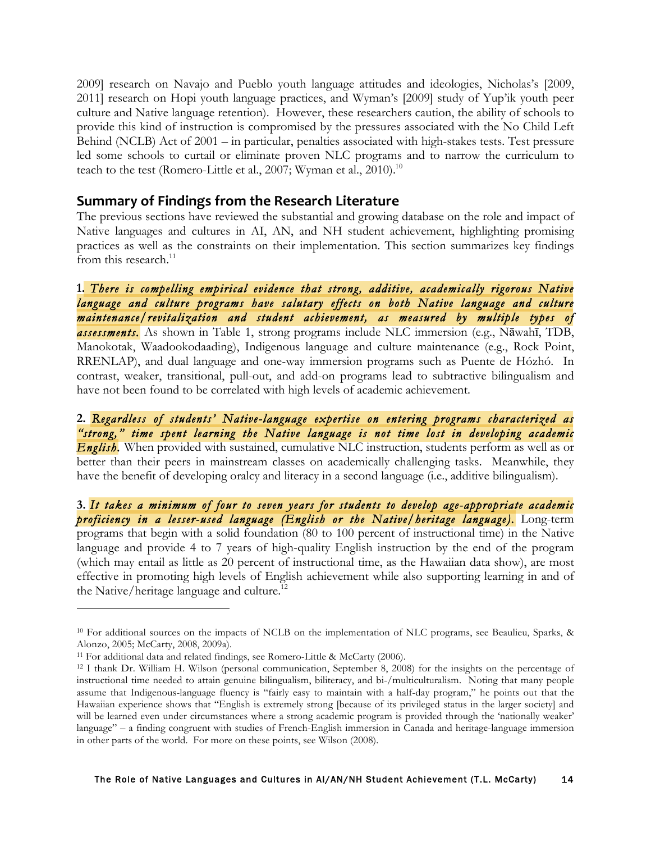2009] research on Navajo and Pueblo youth language attitudes and ideologies, Nicholas's [2009, 2011] research on Hopi youth language practices, and Wyman's [2009] study of Yup'ik youth peer culture and Native language retention). However, these researchers caution, the ability of schools to provide this kind of instruction is compromised by the pressures associated with the No Child Left Behind (NCLB) Act of 2001 – in particular, penalties associated with high-stakes tests. Test pressure led some schools to curtail or eliminate proven NLC programs and to narrow the curriculum to teach to the test (Romero-Little et al., 2007; Wyman et al., 2010).<sup>10</sup>

## **Summary
of
Findings
from
the
Research
Literature**

The previous sections have reviewed the substantial and growing database on the role and impact of Native languages and cultures in AI, AN, and NH student achievement, highlighting promising practices as well as the constraints on their implementation. This section summarizes key findings from this research.<sup>11</sup>

**1.** *There is compelling empirical evidence that strong, additive, academically rigorous Native language and culture programs have salutary effects on both Native language and culture maintenance/revitalization and student achievement, as measured by multiple types of assessments.* As shown in Table 1, strong programs include NLC immersion (e.g., Nāwahī, TDB, Manokotak, Waadookodaading), Indigenous language and culture maintenance (e.g., Rock Point, RRENLAP), and dual language and one-way immersion programs such as Puente de Hózhó. In contrast, weaker, transitional, pull-out, and add-on programs lead to subtractive bilingualism and have not been found to be correlated with high levels of academic achievement.

**2.** *Regardless of students' Native-language expertise on entering programs characterized as "strong," time spent learning the Native language is not time lost in developing academic English.* When provided with sustained, cumulative NLC instruction, students perform as well as or better than their peers in mainstream classes on academically challenging tasks. Meanwhile, they have the benefit of developing oralcy and literacy in a second language (i.e., additive bilingualism).

**3.** *It takes a minimum of four to seven years for students to develop age-appropriate academic proficiency in a lesser-used language (English or the Native/heritage language).* Long-term programs that begin with a solid foundation (80 to 100 percent of instructional time) in the Native language and provide 4 to 7 years of high-quality English instruction by the end of the program (which may entail as little as 20 percent of instructional time, as the Hawaiian data show), are most effective in promoting high levels of English achievement while also supporting learning in and of the Native/heritage language and culture.<sup>12</sup>

<sup>10</sup> For additional sources on the impacts of NCLB on the implementation of NLC programs, see Beaulieu, Sparks, & Alonzo, 2005; McCarty, 2008, 2009a).

<sup>&</sup>lt;sup>11</sup> For additional data and related findings, see Romero-Little & McCarty (2006).

<sup>12</sup> I thank Dr. William H. Wilson (personal communication, September 8, 2008) for the insights on the percentage of instructional time needed to attain genuine bilingualism, biliteracy, and bi-/multiculturalism. Noting that many people assume that Indigenous-language fluency is "fairly easy to maintain with a half-day program," he points out that the Hawaiian experience shows that "English is extremely strong [because of its privileged status in the larger society] and will be learned even under circumstances where a strong academic program is provided through the 'nationally weaker' language" – a finding congruent with studies of French-English immersion in Canada and heritage-language immersion in other parts of the world. For more on these points, see Wilson (2008).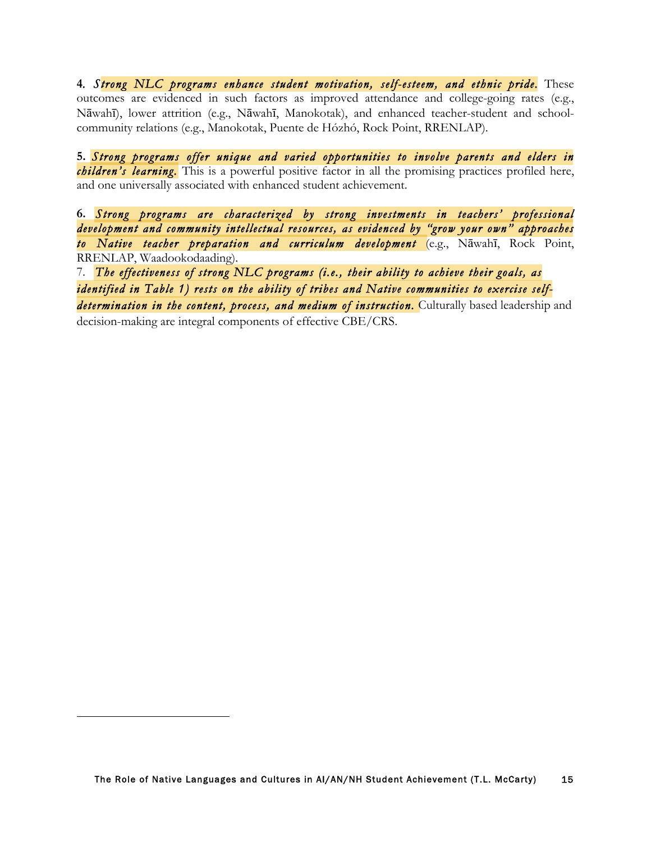**4***. Strong NLC programs enhance student motivation, self-esteem, and ethnic pride.* These outcomes are evidenced in such factors as improved attendance and college-going rates (e.g., Nāwahī), lower attrition (e.g., Nāwahī, Manokotak), and enhanced teacher-student and schoolcommunity relations (e.g., Manokotak, Puente de Hózhó, Rock Point, RRENLAP).

**5.** *Strong programs offer unique and varied opportunities to involve parents and elders in children's learning.* This is a powerful positive factor in all the promising practices profiled here, and one universally associated with enhanced student achievement.

**6.** *Strong programs are characterized by strong investments in teachers' professional development and community intellectual resources, as evidenced by "grow your own" approaches to Native teacher preparation and curriculum development* (e.g., Nāwahī, Rock Point, RRENLAP, Waadookodaading).

7. *The effectiveness of strong NLC programs (i.e., their ability to achieve their goals, as identified in Table 1) rests on the ability of tribes and Native communities to exercise selfdetermination in the content, process, and medium of instruction.* Culturally based leadership and

decision-making are integral components of effective CBE/CRS.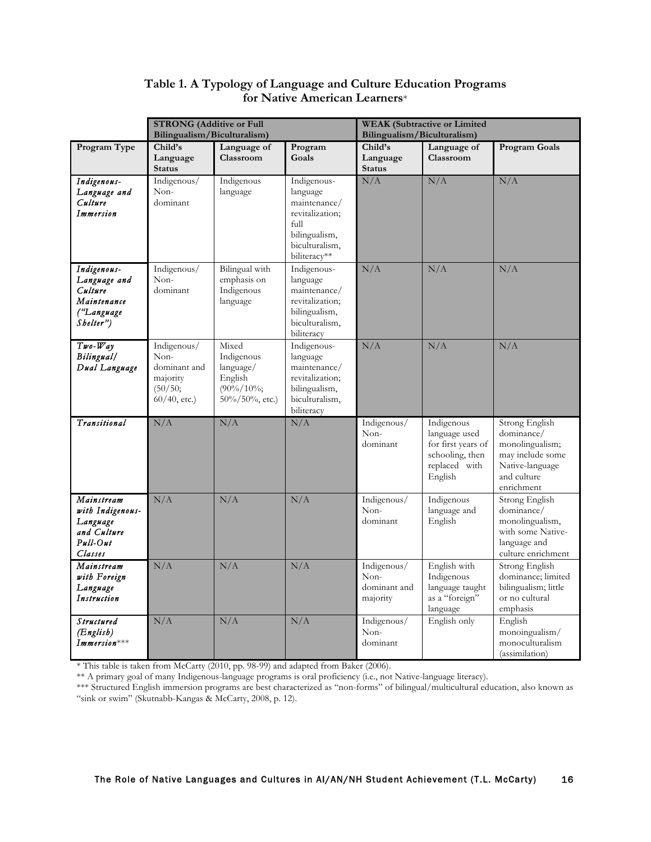|                                                                                  | <b>STRONG</b> (Additive or Full<br>Bilingualism/Biculturalism)                |                                                                                     |                                                                                                                       | <b>WEAK</b> (Subtractive or Limited<br>Bilingualism/Biculturalism) |                                                                                                  |                                                                                                                     |
|----------------------------------------------------------------------------------|-------------------------------------------------------------------------------|-------------------------------------------------------------------------------------|-----------------------------------------------------------------------------------------------------------------------|--------------------------------------------------------------------|--------------------------------------------------------------------------------------------------|---------------------------------------------------------------------------------------------------------------------|
| Program Type                                                                     | Child's<br>Language<br><b>Status</b>                                          | Language of<br>Classroom                                                            | Program<br>Goals                                                                                                      | Child's<br>Language<br><b>Status</b>                               | Language of<br>Classroom                                                                         | <b>Program Goals</b>                                                                                                |
| Indigenous-<br>Language and<br>Culture<br>Immersion                              | Indigenous/<br>Non-<br>dominant                                               | Indigenous<br>language                                                              | Indigenous-<br>language<br>maintenance/<br>revitalization;<br>full<br>bilingualism,<br>biculturalism,<br>biliteracy** | N/A                                                                | N/A                                                                                              | N/A                                                                                                                 |
| Indigenous-<br>Language and<br>Culture<br>Maintenance<br>("Language<br>Shelter") | Indigenous/<br>Non-<br>dominant                                               | Bilingual with<br>emphasis on<br>Indigenous<br>language                             | Indigenous-<br>language<br>maintenance/<br>revitalization;<br>bilingualism,<br>biculturalism,<br>biliteracy           | N/A                                                                | N/A                                                                                              | N/A                                                                                                                 |
| $Two-Way$<br>Bilingual/<br>Dual Language                                         | Indigenous/<br>Non-<br>dominant and<br>majority<br>(50/50;<br>$60/40$ , etc.) | Mixed<br>Indigenous<br>language/<br>English<br>$(90\%/10\%;$<br>$50\%/50\%$ , etc.) | Indigenous-<br>language<br>maintenance/<br>revitalization;<br>bilingualism,<br>biculturalism,<br>biliteracy           | N/A                                                                | N/A                                                                                              | N/A                                                                                                                 |
| Transitional                                                                     | N/A                                                                           | N/A                                                                                 | N/A                                                                                                                   | Indigenous/<br>Non-<br>dominant                                    | Indigenous<br>language used<br>for first years of<br>schooling, then<br>replaced with<br>English | Strong English<br>dominance/<br>monolingualism;<br>may include some<br>Native-language<br>and culture<br>enrichment |
| Mainstream<br>with Indigenous-<br>Language<br>and Culture<br>Pull-Out<br>Classes | N/A                                                                           | N/A                                                                                 | N/A                                                                                                                   | Indigenous/<br>Non-<br>dominant                                    | Indigenous<br>language and<br>English                                                            | Strong English<br>dominance/<br>monolingualism,<br>with some Native-<br>language and<br>culture enrichment          |
| Mainstream<br>with Foreign<br>Language<br>Instruction                            | N/A                                                                           | N/A                                                                                 | N/A                                                                                                                   | Indigenous/<br>$Non-$<br>dominant and<br>majority                  | English with<br>Indigenous<br>language taught<br>as a "foreign"<br>language                      | Strong English<br>dominance; limited<br>bilingualism; little<br>or no cultural<br>emphasis                          |
| <b>Structured</b><br>(English)<br>$Immersion***$                                 | N/A                                                                           | N/A                                                                                 | N/A                                                                                                                   | Indigenous/<br>$Non-$<br>dominant                                  | English only                                                                                     | English<br>monoingualism/<br>monoculturalism<br>(assimilation)                                                      |

### **Table 1. A Typology of Language and Culture Education Programs for Native American Learners**\*

\* This table is taken from McCarty (2010, pp. 98-99) and adapted from Baker (2006).

\*\* A primary goal of many Indigenous-language programs is oral proficiency (i.e., not Native-language literacy).

\*\*\* Structured English immersion programs are best characterized as "non-forms" of bilingual/multicultural education, also known as "sink or swim" (Skutnabb-Kangas & McCarty, 2008, p. 12).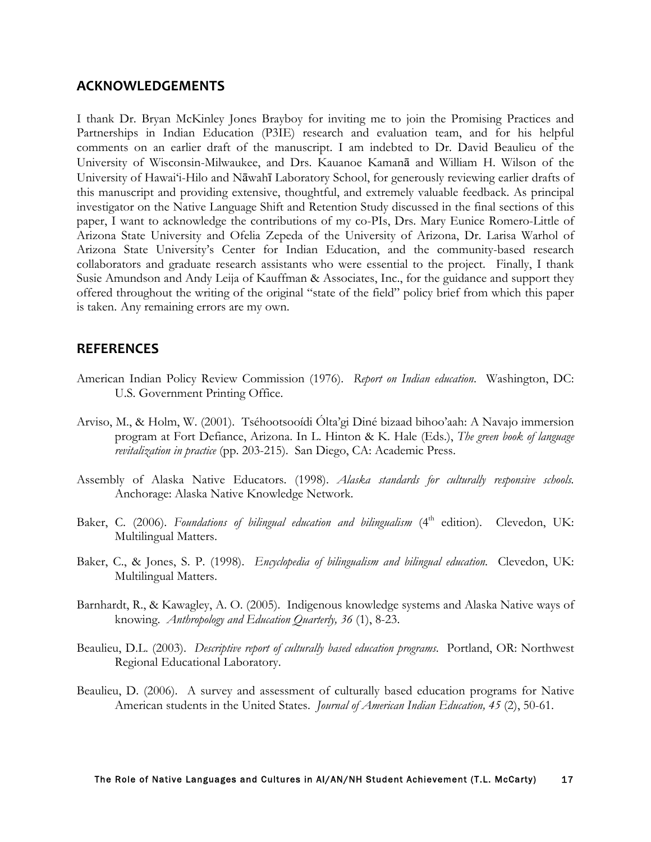#### **ACKNOWLEDGEMENTS**

I thank Dr. Bryan McKinley Jones Brayboy for inviting me to join the Promising Practices and Partnerships in Indian Education (P3IE) research and evaluation team, and for his helpful comments on an earlier draft of the manuscript. I am indebted to Dr. David Beaulieu of the University of Wisconsin-Milwaukee, and Drs. Kauanoe Kamanā and William H. Wilson of the University of Hawai'i-Hilo and Nāwahī Laboratory School, for generously reviewing earlier drafts of this manuscript and providing extensive, thoughtful, and extremely valuable feedback. As principal investigator on the Native Language Shift and Retention Study discussed in the final sections of this paper, I want to acknowledge the contributions of my co-PIs, Drs. Mary Eunice Romero-Little of Arizona State University and Ofelia Zepeda of the University of Arizona, Dr. Larisa Warhol of Arizona State University's Center for Indian Education, and the community-based research collaborators and graduate research assistants who were essential to the project. Finally, I thank Susie Amundson and Andy Leija of Kauffman & Associates, Inc., for the guidance and support they offered throughout the writing of the original "state of the field" policy brief from which this paper is taken. Any remaining errors are my own.

#### **REFERENCES**

- American Indian Policy Review Commission (1976). *Report on Indian education*. Washington, DC: U.S. Government Printing Office.
- Arviso, M., & Holm, W. (2001). Tséhootsooídi Ólta'gi Diné bizaad bihoo'aah: A Navajo immersion program at Fort Defiance, Arizona. In L. Hinton & K. Hale (Eds.), *The green book of language revitalization in practice* (pp. 203-215). San Diego, CA: Academic Press.
- Assembly of Alaska Native Educators. (1998). *Alaska standards for culturally responsive schools.* Anchorage: Alaska Native Knowledge Network.
- Baker, C. (2006). *Foundations of bilingual education and bilingualism* (4<sup>th</sup> edition). Clevedon, UK: Multilingual Matters.
- Baker, C., & Jones, S. P. (1998). *Encyclopedia of bilingualism and bilingual education*. Clevedon, UK: Multilingual Matters.
- Barnhardt, R., & Kawagley, A. O. (2005). Indigenous knowledge systems and Alaska Native ways of knowing. *Anthropology and Education Quarterly, 36* (1), 8-23.
- Beaulieu, D.L. (2003). *Descriptive report of culturally based education programs*. Portland, OR: Northwest Regional Educational Laboratory.
- Beaulieu, D. (2006). A survey and assessment of culturally based education programs for Native American students in the United States. *Journal of American Indian Education, 45* (2), 50-61.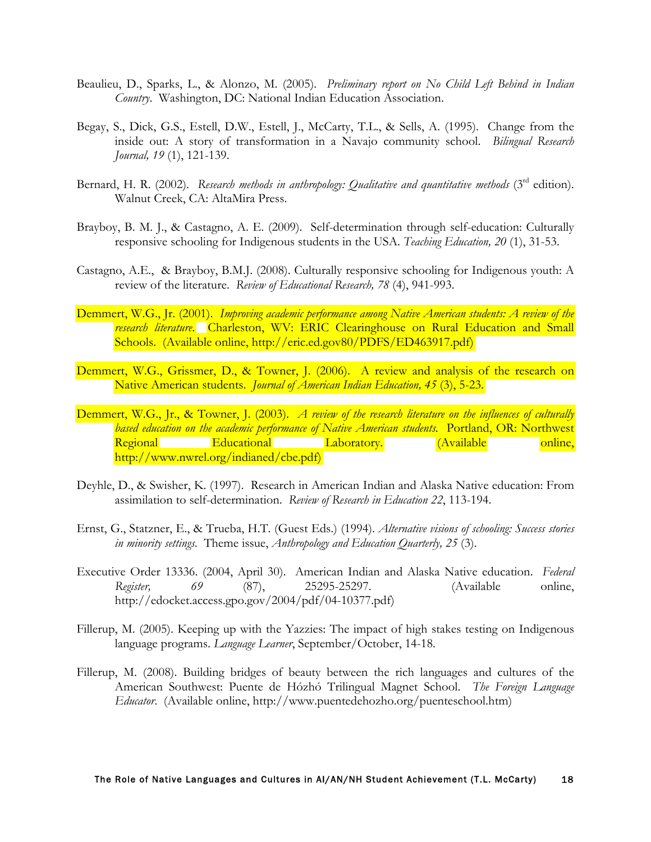- Beaulieu, D., Sparks, L., & Alonzo, M. (2005). *Preliminary report on No Child Left Behind in Indian Country*. Washington, DC: National Indian Education Association.
- Begay, S., Dick, G.S., Estell, D.W., Estell, J., McCarty, T.L., & Sells, A. (1995). Change from the inside out: A story of transformation in a Navajo community school. *Bilingual Research Journal, 19* (1), 121-139.
- Bernard, H. R. (2002). *Research methods in anthropology: Qualitative and quantitative methods* (3<sup>rd</sup> edition). Walnut Creek, CA: AltaMira Press.
- Brayboy, B. M. J., & Castagno, A. E. (2009). Self-determination through self-education: Culturally responsive schooling for Indigenous students in the USA. *Teaching Education, 20* (1), 31-53.
- Castagno, A.E., & Brayboy, B.M.J. (2008). Culturally responsive schooling for Indigenous youth: A review of the literature. *Review of Educational Research, 78* (4), 941-993.
- Demmert, W.G., Jr. (2001). *Improving academic performance among Native American students: A review of the research literature*. Charleston, WV: ERIC Clearinghouse on Rural Education and Small Schools. (Available online, http://eric.ed.gov80/PDFS/ED463917.pdf)
- Demmert, W.G., Grissmer, D., & Towner, J. (2006). A review and analysis of the research on Native American students. *Journal of American Indian Education, 45* (3), 5-23.
- Demmert, W.G., Jr., & Towner, J. (2003). *A review of the research literature on the influences of culturally based education on the academic performance of Native American students.* Portland, OR: Northwest Regional Educational Laboratory. (Available online, http://www.nwrel.org/indianed/cbe.pdf)
- Deyhle, D., & Swisher, K. (1997). Research in American Indian and Alaska Native education: From assimilation to self-determination. *Review of Research in Education 22*, 113-194.
- Ernst, G., Statzner, E., & Trueba, H.T. (Guest Eds.) (1994). *Alternative visions of schooling: Success stories in minority settings*. Theme issue, *Anthropology and Education Quarterly, 25* (3).
- Executive Order 13336. (2004, April 30). American Indian and Alaska Native education. *Federal Register, 69* (87), 25295-25297. (Available online, http://edocket.access.gpo.gov/2004/pdf/04-10377.pdf)
- Fillerup, M. (2005). Keeping up with the Yazzies: The impact of high stakes testing on Indigenous language programs. *Language Learner*, September/October, 14-18.
- Fillerup, M. (2008). Building bridges of beauty between the rich languages and cultures of the American Southwest: Puente de Hózhó Trilingual Magnet School. *The Foreign Language Educator*. (Available online, http://www.puentedehozho.org/puenteschool.htm)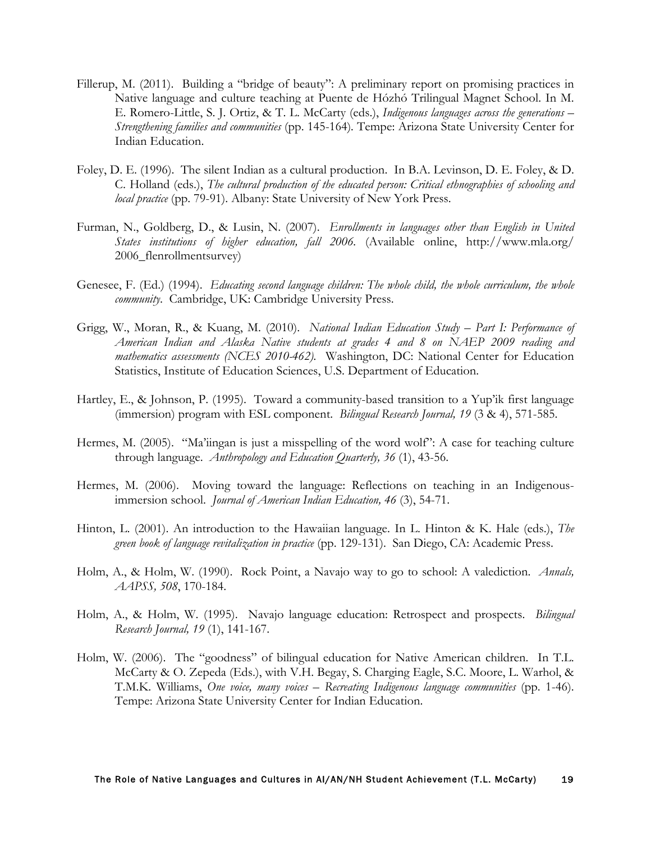- Fillerup, M. (2011). Building a "bridge of beauty": A preliminary report on promising practices in Native language and culture teaching at Puente de Hózhó Trilingual Magnet School. In M. E. Romero-Little, S. J. Ortiz, & T. L. McCarty (eds.), *Indigenous languages across the generations – Strengthening families and communities* (pp. 145-164)*.* Tempe: Arizona State University Center for Indian Education.
- Foley, D. E. (1996). The silent Indian as a cultural production. In B.A. Levinson, D. E. Foley, & D. C. Holland (eds.), *The cultural production of the educated person: Critical ethnographies of schooling and local practice* (pp. 79-91). Albany: State University of New York Press.
- Furman, N., Goldberg, D., & Lusin, N. (2007). *Enrollments in languages other than English in United States institutions of higher education, fall 2006.* (Available online, http://www.mla.org/ 2006\_flenrollmentsurvey)
- Genesee, F. (Ed.) (1994). *Educating second language children: The whole child, the whole curriculum, the whole community*. Cambridge, UK: Cambridge University Press.
- Grigg, W., Moran, R., & Kuang, M. (2010). *National Indian Education Study Part I: Performance of American Indian and Alaska Native students at grades 4 and 8 on NAEP 2009 reading and mathematics assessments (NCES 2010-462).* Washington, DC: National Center for Education Statistics, Institute of Education Sciences, U.S. Department of Education.
- Hartley, E., & Johnson, P. (1995). Toward a community-based transition to a Yup'ik first language (immersion) program with ESL component. *Bilingual Research Journal, 19* (3 & 4), 571-585.
- Hermes, M. (2005). "Ma'iingan is just a misspelling of the word wolf": A case for teaching culture through language. *Anthropology and Education Quarterly, 36* (1), 43-56.
- Hermes, M. (2006). Moving toward the language: Reflections on teaching in an Indigenousimmersion school. *Journal of American Indian Education, 46* (3), 54-71.
- Hinton, L. (2001). An introduction to the Hawaiian language. In L. Hinton & K. Hale (eds.), *The green book of language revitalization in practice* (pp. 129-131). San Diego, CA: Academic Press.
- Holm, A., & Holm, W. (1990). Rock Point, a Navajo way to go to school: A valediction. *Annals, AAPSS, 508*, 170-184.
- Holm, A., & Holm, W. (1995). Navajo language education: Retrospect and prospects. *Bilingual Research Journal, 19* (1), 141-167.
- Holm, W. (2006). The "goodness" of bilingual education for Native American children. In T.L. McCarty & O. Zepeda (Eds.), with V.H. Begay, S. Charging Eagle, S.C. Moore, L. Warhol, & T.M.K. Williams, *One voice, many voices – Recreating Indigenous language communities* (pp. 1-46). Tempe: Arizona State University Center for Indian Education.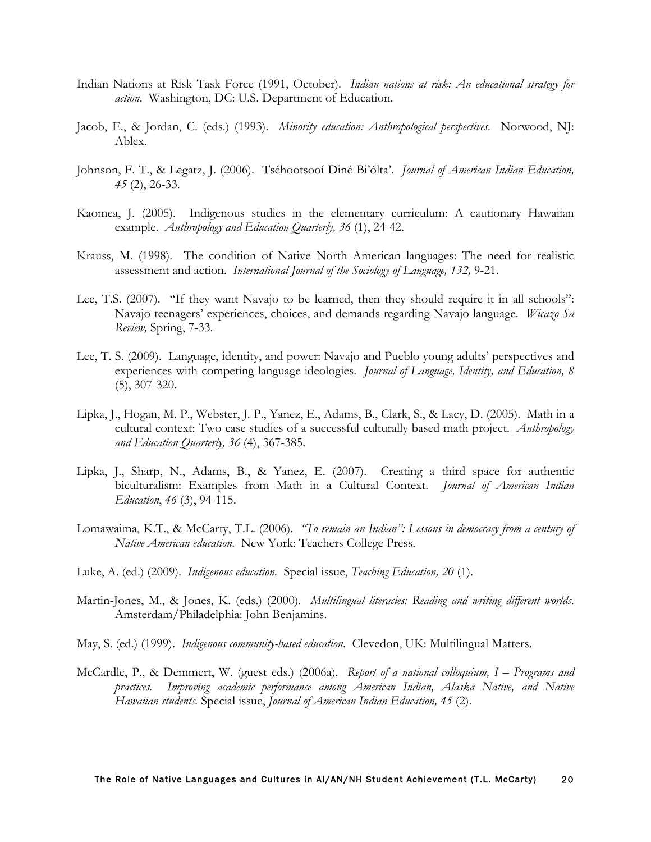- Indian Nations at Risk Task Force (1991, October). *Indian nations at risk: An educational strategy for action*. Washington, DC: U.S. Department of Education.
- Jacob, E., & Jordan, C. (eds.) (1993). *Minority education: Anthropological perspectives*. Norwood, NJ: Ablex.
- Johnson, F. T., & Legatz, J. (2006). Tséhootsooí Diné Bi'ólta'. *Journal of American Indian Education, 45* (2), 26-33.
- Kaomea, J. (2005). Indigenous studies in the elementary curriculum: A cautionary Hawaiian example. *Anthropology and Education Quarterly, 36* (1), 24-42.
- Krauss, M. (1998). The condition of Native North American languages: The need for realistic assessment and action. *International Journal of the Sociology of Language, 132,* 9-21.
- Lee, T.S. (2007). "If they want Navajo to be learned, then they should require it in all schools": Navajo teenagers' experiences, choices, and demands regarding Navajo language. *Wicazo Sa Review,* Spring, 7-33.
- Lee, T. S. (2009). Language, identity, and power: Navajo and Pueblo young adults' perspectives and experiences with competing language ideologies. *Journal of Language, Identity, and Education, 8* (5), 307-320.
- Lipka, J., Hogan, M. P., Webster, J. P., Yanez, E., Adams, B., Clark, S., & Lacy, D. (2005). Math in a cultural context: Two case studies of a successful culturally based math project. *Anthropology and Education Quarterly, 36* (4), 367-385.
- Lipka, J., Sharp, N., Adams, B., & Yanez, E. (2007). Creating a third space for authentic biculturalism: Examples from Math in a Cultural Context. *Journal of American Indian Education*, *46* (3), 94-115.
- Lomawaima, K.T., & McCarty, T.L. (2006). *"To remain an Indian": Lessons in democracy from a century of Native American education*. New York: Teachers College Press.
- Luke, A. (ed.) (2009). *Indigenous education.* Special issue, *Teaching Education, 20* (1).
- Martin-Jones, M., & Jones, K. (eds.) (2000). *Multilingual literacies: Reading and writing different worlds*. Amsterdam/Philadelphia: John Benjamins.
- May, S. (ed.) (1999). *Indigenous community-based education*. Clevedon, UK: Multilingual Matters.
- McCardle, P., & Demmert, W. (guest eds.) (2006a). *Report of a national colloquium, I Programs and practices. Improving academic performance among American Indian, Alaska Native, and Native Hawaiian students.* Special issue, *Journal of American Indian Education, 45* (2).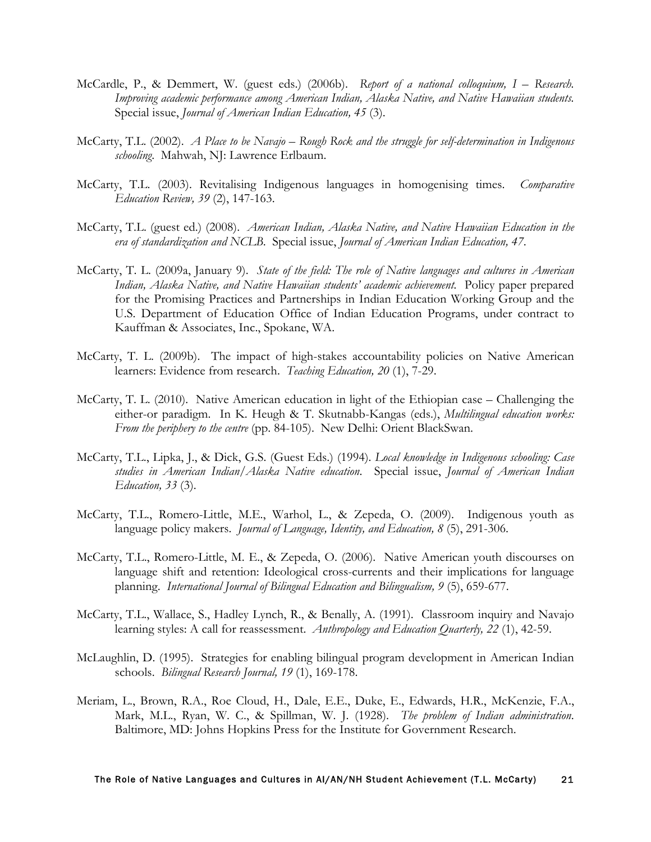- McCardle, P., & Demmert, W. (guest eds.) (2006b). *Report of a national colloquium, I Research. Improving academic performance among American Indian, Alaska Native, and Native Hawaiian students.* Special issue, *Journal of American Indian Education, 45* (3).
- McCarty, T.L. (2002). *A Place to be Navajo – Rough Rock and the struggle for self-determination in Indigenous schooling*. Mahwah, NJ: Lawrence Erlbaum.
- McCarty, T.L. (2003). Revitalising Indigenous languages in homogenising times. *Comparative Education Review, 39* (2), 147-163.
- McCarty, T.L. (guest ed.) (2008). *American Indian, Alaska Native, and Native Hawaiian Education in the era of standardization and NCLB*. Special issue, *Journal of American Indian Education, 47*.
- McCarty, T. L. (2009a, January 9). *State of the field: The role of Native languages and cultures in American Indian, Alaska Native, and Native Hawaiian students' academic achievement.* Policy paper prepared for the Promising Practices and Partnerships in Indian Education Working Group and the U.S. Department of Education Office of Indian Education Programs, under contract to Kauffman & Associates, Inc., Spokane, WA.
- McCarty, T. L. (2009b). The impact of high-stakes accountability policies on Native American learners: Evidence from research. *Teaching Education, 20* (1), 7-29.
- McCarty, T. L. (2010). Native American education in light of the Ethiopian case Challenging the either-or paradigm. In K. Heugh & T. Skutnabb-Kangas (eds.), *Multilingual education works: From the periphery to the centre* (pp. 84-105). New Delhi: Orient BlackSwan.
- McCarty, T.L., Lipka, J., & Dick, G.S. (Guest Eds.) (1994). *Local knowledge in Indigenous schooling: Case studies in American Indian/Alaska Native education*. Special issue, *Journal of American Indian Education, 33* (3).
- McCarty, T.L., Romero-Little, M.E., Warhol, L., & Zepeda, O. (2009). Indigenous youth as language policy makers. *Journal of Language, Identity, and Education, 8* (5), 291-306.
- McCarty, T.L., Romero-Little, M. E., & Zepeda, O. (2006). Native American youth discourses on language shift and retention: Ideological cross-currents and their implications for language planning. *International Journal of Bilingual Education and Bilingualism, 9* (5), 659-677.
- McCarty, T.L., Wallace, S., Hadley Lynch, R., & Benally, A. (1991). Classroom inquiry and Navajo learning styles: A call for reassessment. *Anthropology and Education Quarterly, 22* (1), 42-59.
- McLaughlin, D. (1995). Strategies for enabling bilingual program development in American Indian schools. *Bilingual Research Journal, 19* (1), 169-178.
- Meriam, L., Brown, R.A., Roe Cloud, H., Dale, E.E., Duke, E., Edwards, H.R., McKenzie, F.A., Mark, M.L., Ryan, W. C., & Spillman, W. J. (1928). *The problem of Indian administration*. Baltimore, MD: Johns Hopkins Press for the Institute for Government Research.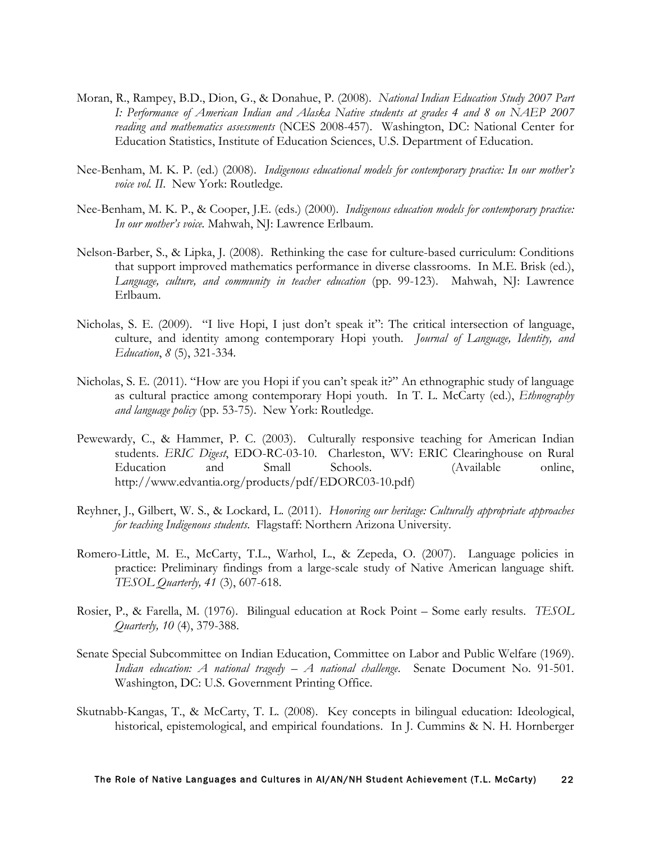- Moran, R., Rampey, B.D., Dion, G., & Donahue, P. (2008). *National Indian Education Study 2007 Part I: Performance of American Indian and Alaska Native students at grades 4 and 8 on NAEP 2007 reading and mathematics assessments* (NCES 2008-457). Washington, DC: National Center for Education Statistics, Institute of Education Sciences, U.S. Department of Education.
- Nee-Benham, M. K. P. (ed.) (2008). *Indigenous educational models for contemporary practice: In our mother's voice vol. II*. New York: Routledge.
- Nee-Benham, M. K. P., & Cooper, J.E. (eds.) (2000). *Indigenous education models for contemporary practice: In our mother's voice.* Mahwah, NJ: Lawrence Erlbaum.
- Nelson-Barber, S., & Lipka, J. (2008). Rethinking the case for culture-based curriculum: Conditions that support improved mathematics performance in diverse classrooms. In M.E. Brisk (ed.), *Language, culture, and community in teacher education* (pp. 99-123). Mahwah, NJ: Lawrence Erlbaum.
- Nicholas, S. E. (2009). "I live Hopi, I just don't speak it": The critical intersection of language, culture, and identity among contemporary Hopi youth. *Journal of Language, Identity, and Education*, *8* (5), 321-334*.*
- Nicholas, S. E. (2011). "How are you Hopi if you can't speak it?" An ethnographic study of language as cultural practice among contemporary Hopi youth. In T. L. McCarty (ed.), *Ethnography and language policy* (pp. 53-75). New York: Routledge.
- Pewewardy, C., & Hammer, P. C. (2003). Culturally responsive teaching for American Indian students. *ERIC Digest*, EDO-RC-03-10. Charleston, WV: ERIC Clearinghouse on Rural Education and Small Schools. (Available online, http://www.edvantia.org/products/pdf/EDORC03-10.pdf)
- Reyhner, J., Gilbert, W. S., & Lockard, L. (2011). *Honoring our heritage: Culturally appropriate approaches for teaching Indigenous students*. Flagstaff: Northern Arizona University.
- Romero-Little, M. E., McCarty, T.L., Warhol, L., & Zepeda, O. (2007). Language policies in practice: Preliminary findings from a large-scale study of Native American language shift. *TESOL Quarterly, 41* (3), 607-618.
- Rosier, P., & Farella, M. (1976). Bilingual education at Rock Point Some early results. *TESOL Quarterly, 10* (4), 379-388.
- Senate Special Subcommittee on Indian Education, Committee on Labor and Public Welfare (1969). *Indian education: A national tragedy – A national challenge*. Senate Document No. 91-501. Washington, DC: U.S. Government Printing Office.
- Skutnabb-Kangas, T., & McCarty, T. L. (2008). Key concepts in bilingual education: Ideological, historical, epistemological, and empirical foundations. In J. Cummins & N. H. Hornberger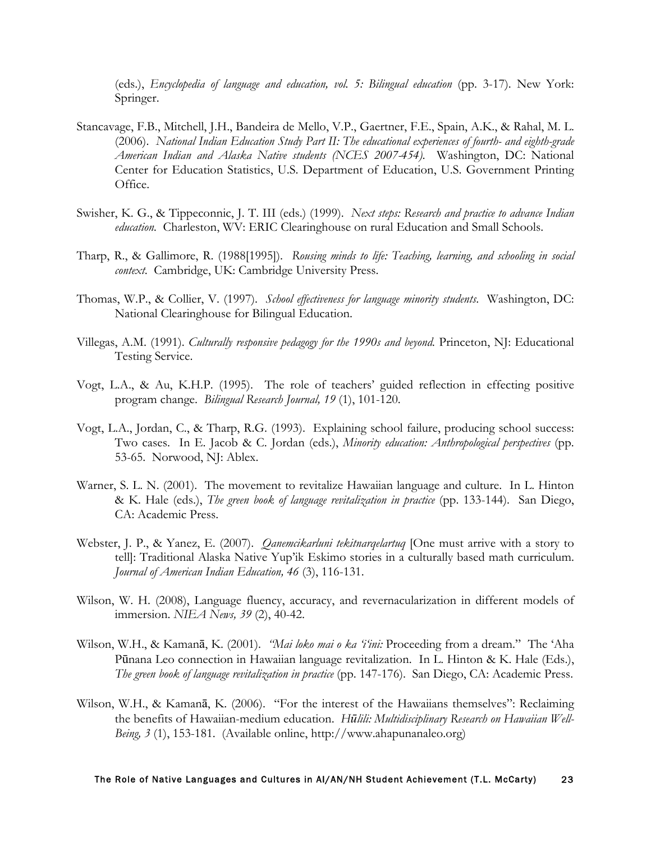(eds.), *Encyclopedia of language and education, vol. 5: Bilingual education* (pp. 3-17). New York: Springer.

- Stancavage, F.B., Mitchell, J.H., Bandeira de Mello, V.P., Gaertner, F.E., Spain, A.K., & Rahal, M. L. (2006). *National Indian Education Study Part II: The educational experiences of fourth- and eighth-grade American Indian and Alaska Native students (NCES 2007-454).* Washington, DC: National Center for Education Statistics, U.S. Department of Education, U.S. Government Printing Office.
- Swisher, K. G., & Tippeconnic, J. T. III (eds.) (1999). *Next steps: Research and practice to advance Indian education.* Charleston, WV: ERIC Clearinghouse on rural Education and Small Schools.
- Tharp, R., & Gallimore, R. (1988[1995]). *Rousing minds to life: Teaching, learning, and schooling in social context*. Cambridge, UK: Cambridge University Press.
- Thomas, W.P., & Collier, V. (1997). *School effectiveness for language minority students*. Washington, DC: National Clearinghouse for Bilingual Education.
- Villegas, A.M. (1991). *Culturally responsive pedagogy for the 1990s and beyond.* Princeton, NJ: Educational Testing Service.
- Vogt, L.A., & Au, K.H.P. (1995). The role of teachers' guided reflection in effecting positive program change. *Bilingual Research Journal, 19* (1), 101-120.
- Vogt, L.A., Jordan, C., & Tharp, R.G. (1993). Explaining school failure, producing school success: Two cases. In E. Jacob & C. Jordan (eds.), *Minority education: Anthropological perspectives* (pp. 53-65. Norwood, NJ: Ablex.
- Warner, S. L. N. (2001). The movement to revitalize Hawaiian language and culture. In L. Hinton & K. Hale (eds.), *The green book of language revitalization in practice* (pp. 133-144). San Diego, CA: Academic Press.
- Webster, J. P., & Yanez, E. (2007). *Qanemcikarluni tekitnarqelartuq* [One must arrive with a story to tell]: Traditional Alaska Native Yup'ik Eskimo stories in a culturally based math curriculum. *Journal of American Indian Education, 46* (3), 116-131.
- Wilson, W. H. (2008), Language fluency, accuracy, and revernacularization in different models of immersion. *NIEA News, 39* (2), 40-42.
- Wilson, W.H., & Kamanā, K. (2001). *"Mai loko mai o ka 'i'ini:* Proceeding from a dream." The 'Aha Pūnana Leo connection in Hawaiian language revitalization. In L. Hinton & K. Hale (Eds.), *The green book of language revitalization in practice* (pp. 147-176). San Diego, CA: Academic Press.
- Wilson, W.H., & Kamanā, K. (2006). "For the interest of the Hawaiians themselves": Reclaiming the benefits of Hawaiian-medium education. *Hūlili: Multidisciplinary Research on Hawaiian Well-Being, 3* (1), 153-181. (Available online, http://www.ahapunanaleo.org)